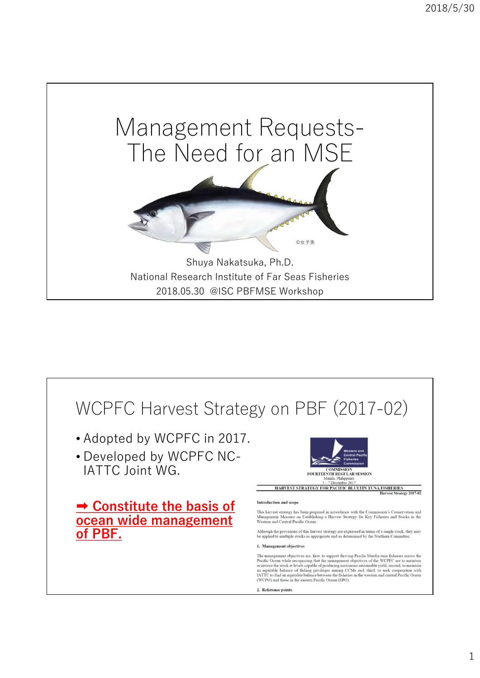

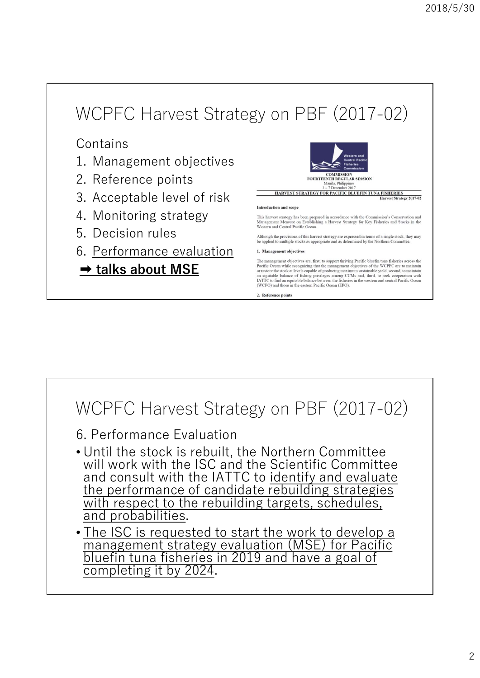# WCPFC Harvest Strategy on PBF (2017-02) WCPFC Harvest Strategy on PBF (20)<br>
Contains<br>
1. Management objectives<br>
2. Reference points<br>
3. Acceptable level of risk WCPFC Harvest Strategy on PBF (20<br>
Contains<br>
2. Reference points<br>
3. Acceptable level of risk<br>
4. Monitoring strategy<br>
5. Decision rules<br>
Program of contains and agent<br>
Monitoring strategy<br>
3. Acceptable level of risk<br>
3. WCPFC Harvest Strategy on PBF (201 4. Monitoring strategy  $\begin{tabular}{|c|c|c|c|} \hline & $\mathsf{WCPFC\; Harvest Strategy on PBF (20contains1. Management objectives2. Reference points3. Acceptable level of risk4. Monitoring strategy5. Decision rules6. Performance evaluation6. Performance evaluation6. **Reformance evaluation**6. **Reformance evaluation**7. **Rate** 1. **Table 2. **Table 3****7. **Table 3** 1. **Example 4. **Table 4. **Example 5****7. **Table 5. **Example 6. **Example 6. **Example**********$ WCPFC Harvest Strategy on PBF (2017)<br>
Contains<br>
1. Management objectives<br>
2. Reference points<br>
3. Acceptable level of risk<br>
4. Monitoring strategy<br>
5. Decision rules<br>
6. <u>Performance evaluation</u><br>
1. Management objectives<br> <table>\n<tbody>\n<tr>\n<th>NOTE C</th>\n<td>Harvest Strategy on PBF (20)</td>\n</tr>\n<tr>\n<td>contains</td>\n<td>Q</td>\n</tr>\n<tr>\n<td>2. Reference points</td>\n<td>PROOF</td>\n</tr>\n<tr>\n<td>3. Acceptable level of risk</td>\n<td>PROOF</td>\n</tr>\n<tr>\n<td>4. Monitoring strategy</td>\n<td>Haarson and G</td>\n</tr>\n<tr>\n<td>5. Decision rules</td>\n<td>Algebra of the image is the program of the image is the program of the image is the program of the image is the program of the image is the program of the image is the program of the image is the program of the image is the program of the image is the program of the image is the program of the image

Contains

- 
- 
- 
- 
- 
- 



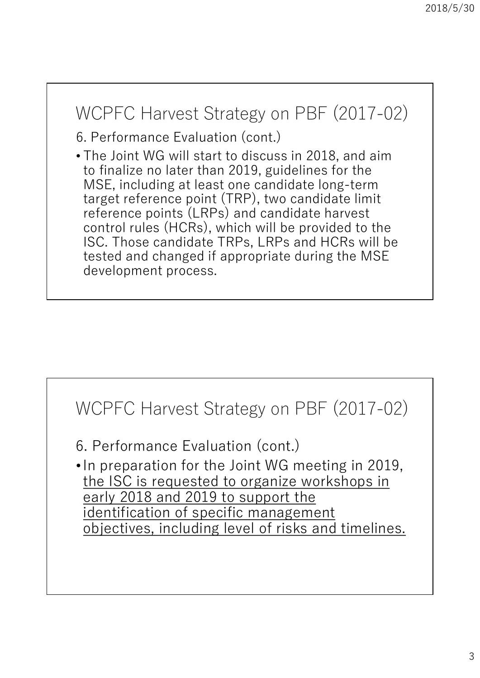### WCPFC Harvest Strategy on PBF (2017-02)

6. Performance Evaluation (cont.)

• The Joint WG will start to discuss in 2018, and aim to finalize no later than 2019, guidelines for the MSE, including at least one candidate long-term target reference point (TRP), two candidate limit reference points (LRPs) and candidate harvest control rules (HCRs), which will be provided to the ISC. Those candidate TRPs, LRPs and HCRs will be tested and changed if appropriate during the MSE development process.

### WCPFC Harvest Strategy on PBF (2017-02)

6. Performance Evaluation (cont.)

•In preparation for the Joint WG meeting in 2019, the ISC is requested to organize workshops in early 2018 and 2019 to support the identification of specific management objectives, including level of risks and timelines.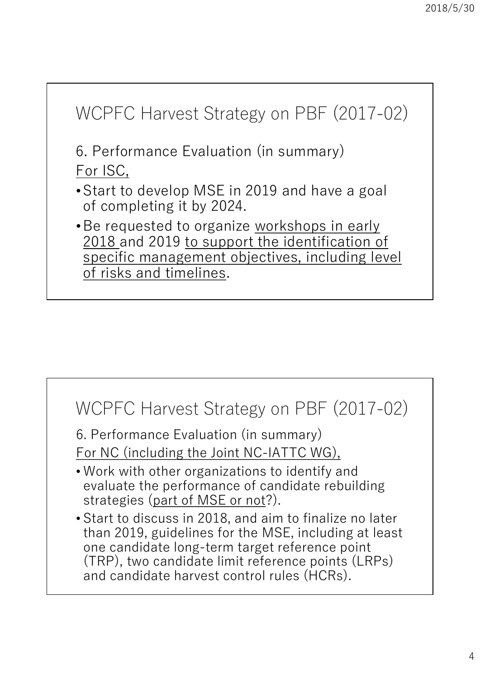

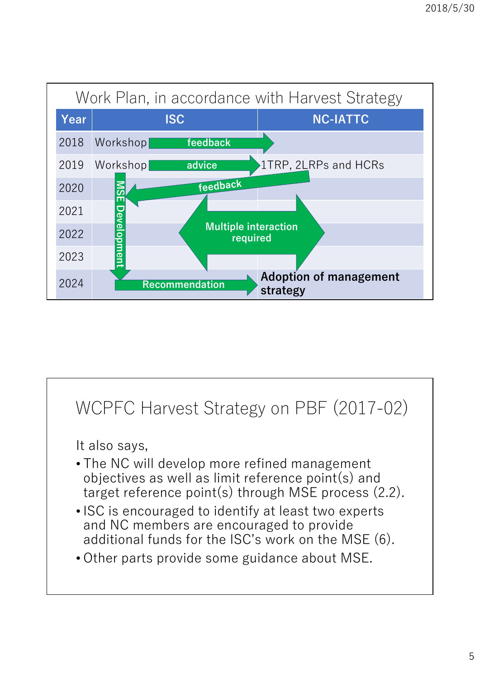